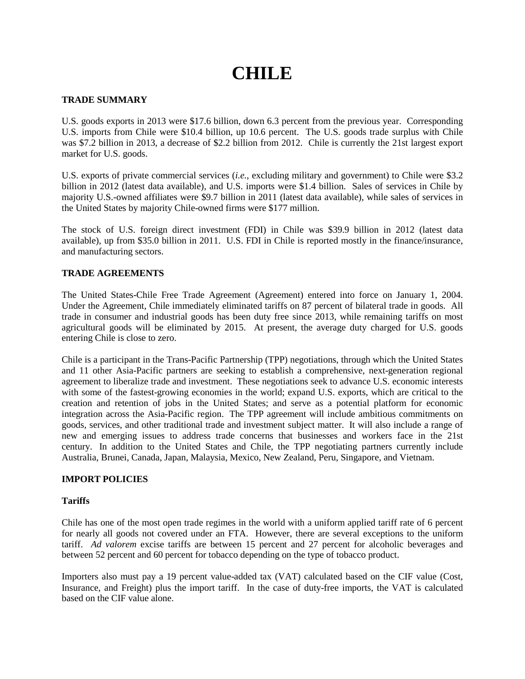# **CHILE**

## **TRADE SUMMARY**

U.S. goods exports in 2013 were \$17.6 billion, down 6.3 percent from the previous year. Corresponding U.S. imports from Chile were \$10.4 billion, up 10.6 percent. The U.S. goods trade surplus with Chile was \$7.2 billion in 2013, a decrease of \$2.2 billion from 2012. Chile is currently the 21st largest export market for U.S. goods.

U.S. exports of private commercial services (*i.e.*, excluding military and government) to Chile were \$3.2 billion in 2012 (latest data available), and U.S. imports were \$1.4 billion. Sales of services in Chile by majority U.S.-owned affiliates were \$9.7 billion in 2011 (latest data available), while sales of services in the United States by majority Chile-owned firms were \$177 million.

The stock of U.S. foreign direct investment (FDI) in Chile was \$39.9 billion in 2012 (latest data available), up from \$35.0 billion in 2011. U.S. FDI in Chile is reported mostly in the finance/insurance, and manufacturing sectors.

## **TRADE AGREEMENTS**

The United States-Chile Free Trade Agreement (Agreement) entered into force on January 1, 2004. Under the Agreement, Chile immediately eliminated tariffs on 87 percent of bilateral trade in goods. All trade in consumer and industrial goods has been duty free since 2013, while remaining tariffs on most agricultural goods will be eliminated by 2015. At present, the average duty charged for U.S. goods entering Chile is close to zero.

Chile is a participant in the Trans-Pacific Partnership (TPP) negotiations, through which the United States and 11 other Asia-Pacific partners are seeking to establish a comprehensive, next-generation regional agreement to liberalize trade and investment. These negotiations seek to advance U.S. economic interests with some of the fastest-growing economies in the world; expand U.S. exports, which are critical to the creation and retention of jobs in the United States; and serve as a potential platform for economic integration across the Asia-Pacific region. The TPP agreement will include ambitious commitments on goods, services, and other traditional trade and investment subject matter. It will also include a range of new and emerging issues to address trade concerns that businesses and workers face in the 21st century. In addition to the United States and Chile, the TPP negotiating partners currently include Australia, Brunei, Canada, Japan, Malaysia, Mexico, New Zealand, Peru, Singapore, and Vietnam.

#### **IMPORT POLICIES**

#### **Tariffs**

Chile has one of the most open trade regimes in the world with a uniform applied tariff rate of 6 percent for nearly all goods not covered under an FTA. However, there are several exceptions to the uniform tariff. *Ad valorem* excise tariffs are between 15 percent and 27 percent for alcoholic beverages and between 52 percent and 60 percent for tobacco depending on the type of tobacco product.

Importers also must pay a 19 percent value-added tax (VAT) calculated based on the CIF value (Cost, Insurance, and Freight) plus the import tariff. In the case of duty-free imports, the VAT is calculated based on the CIF value alone.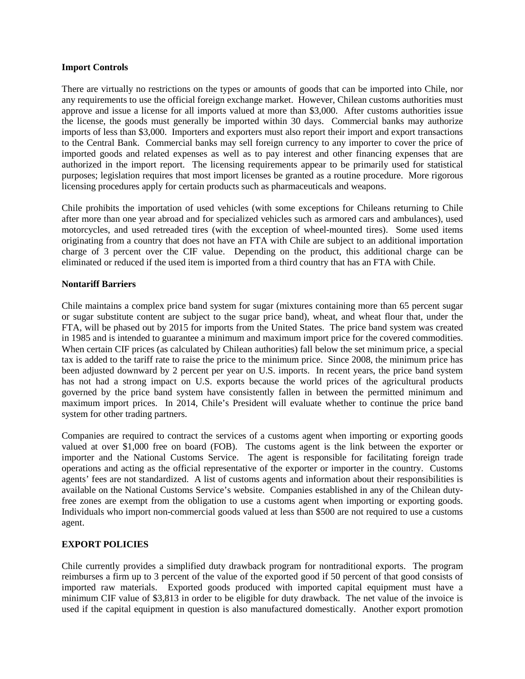#### **Import Controls**

There are virtually no restrictions on the types or amounts of goods that can be imported into Chile, nor any requirements to use the official foreign exchange market. However, Chilean customs authorities must approve and issue a license for all imports valued at more than \$3,000. After customs authorities issue the license, the goods must generally be imported within 30 days. Commercial banks may authorize imports of less than \$3,000. Importers and exporters must also report their import and export transactions to the Central Bank. Commercial banks may sell foreign currency to any importer to cover the price of imported goods and related expenses as well as to pay interest and other financing expenses that are authorized in the import report. The licensing requirements appear to be primarily used for statistical purposes; legislation requires that most import licenses be granted as a routine procedure. More rigorous licensing procedures apply for certain products such as pharmaceuticals and weapons.

Chile prohibits the importation of used vehicles (with some exceptions for Chileans returning to Chile after more than one year abroad and for specialized vehicles such as armored cars and ambulances), used motorcycles, and used retreaded tires (with the exception of wheel-mounted tires). Some used items originating from a country that does not have an FTA with Chile are subject to an additional importation charge of 3 percent over the CIF value. Depending on the product, this additional charge can be eliminated or reduced if the used item is imported from a third country that has an FTA with Chile.

#### **Nontariff Barriers**

Chile maintains a complex price band system for sugar (mixtures containing more than 65 percent sugar or sugar substitute content are subject to the sugar price band), wheat, and wheat flour that, under the FTA, will be phased out by 2015 for imports from the United States. The price band system was created in 1985 and is intended to guarantee a minimum and maximum import price for the covered commodities. When certain CIF prices (as calculated by Chilean authorities) fall below the set minimum price, a special tax is added to the tariff rate to raise the price to the minimum price. Since 2008, the minimum price has been adjusted downward by 2 percent per year on U.S. imports. In recent years, the price band system has not had a strong impact on U.S. exports because the world prices of the agricultural products governed by the price band system have consistently fallen in between the permitted minimum and maximum import prices. In 2014, Chile's President will evaluate whether to continue the price band system for other trading partners.

Companies are required to contract the services of a customs agent when importing or exporting goods valued at over \$1,000 free on board (FOB). The customs agent is the link between the exporter or importer and the National Customs Service. The agent is responsible for facilitating foreign trade operations and acting as the official representative of the exporter or importer in the country. Customs agents' fees are not standardized. A list of customs agents and information about their responsibilities is available on the National Customs Service's website. Companies established in any of the Chilean dutyfree zones are exempt from the obligation to use a customs agent when importing or exporting goods. Individuals who import non-commercial goods valued at less than \$500 are not required to use a customs agent.

# **EXPORT POLICIES**

Chile currently provides a simplified duty drawback program for nontraditional exports. The program reimburses a firm up to 3 percent of the value of the exported good if 50 percent of that good consists of imported raw materials. Exported goods produced with imported capital equipment must have a minimum CIF value of \$3,813 in order to be eligible for duty drawback. The net value of the invoice is used if the capital equipment in question is also manufactured domestically. Another export promotion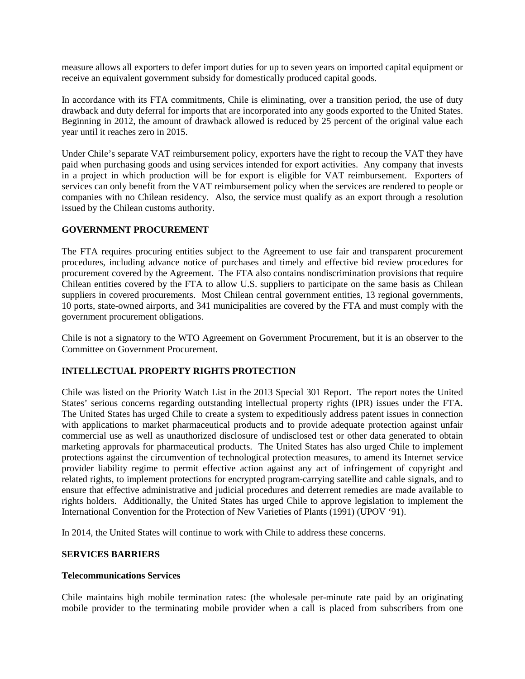measure allows all exporters to defer import duties for up to seven years on imported capital equipment or receive an equivalent government subsidy for domestically produced capital goods.

In accordance with its FTA commitments, Chile is eliminating, over a transition period, the use of duty drawback and duty deferral for imports that are incorporated into any goods exported to the United States. Beginning in 2012, the amount of drawback allowed is reduced by 25 percent of the original value each year until it reaches zero in 2015.

Under Chile's separate VAT reimbursement policy, exporters have the right to recoup the VAT they have paid when purchasing goods and using services intended for export activities. Any company that invests in a project in which production will be for export is eligible for VAT reimbursement. Exporters of services can only benefit from the VAT reimbursement policy when the services are rendered to people or companies with no Chilean residency. Also, the service must qualify as an export through a resolution issued by the Chilean customs authority.

#### **GOVERNMENT PROCUREMENT**

The FTA requires procuring entities subject to the Agreement to use fair and transparent procurement procedures, including advance notice of purchases and timely and effective bid review procedures for procurement covered by the Agreement. The FTA also contains nondiscrimination provisions that require Chilean entities covered by the FTA to allow U.S. suppliers to participate on the same basis as Chilean suppliers in covered procurements. Most Chilean central government entities, 13 regional governments, 10 ports, state-owned airports, and 341 municipalities are covered by the FTA and must comply with the government procurement obligations.

Chile is not a signatory to the WTO Agreement on Government Procurement, but it is an observer to the Committee on Government Procurement.

# **INTELLECTUAL PROPERTY RIGHTS PROTECTION**

Chile was listed on the Priority Watch List in the 2013 Special 301 Report. The report notes the United States' serious concerns regarding outstanding intellectual property rights (IPR) issues under the FTA. The United States has urged Chile to create a system to expeditiously address patent issues in connection with applications to market pharmaceutical products and to provide adequate protection against unfair commercial use as well as unauthorized disclosure of undisclosed test or other data generated to obtain marketing approvals for pharmaceutical products. The United States has also urged Chile to implement protections against the circumvention of technological protection measures, to amend its Internet service provider liability regime to permit effective action against any act of infringement of copyright and related rights, to implement protections for encrypted program-carrying satellite and cable signals, and to ensure that effective administrative and judicial procedures and deterrent remedies are made available to rights holders. Additionally, the United States has urged Chile to approve legislation to implement the International Convention for the Protection of New Varieties of Plants (1991) (UPOV '91).

In 2014, the United States will continue to work with Chile to address these concerns.

#### **SERVICES BARRIERS**

#### **Telecommunications Services**

Chile maintains high mobile termination rates: (the wholesale per-minute rate paid by an originating mobile provider to the terminating mobile provider when a call is placed from subscribers from one